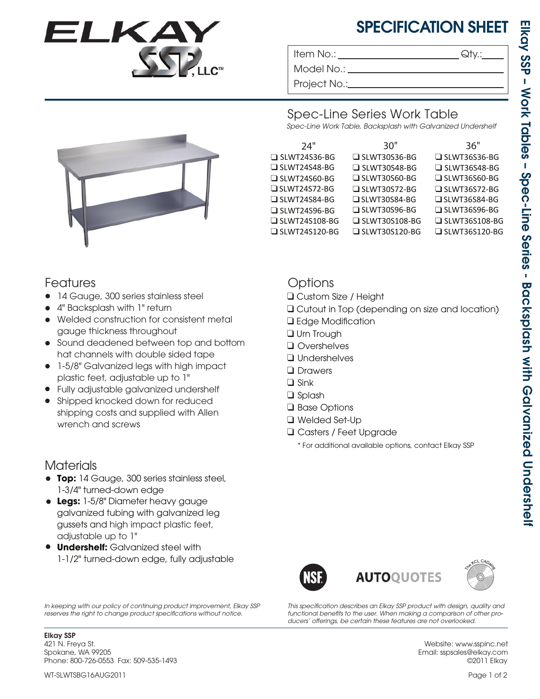

# SPECIFICATION SHEET

Item No.: Given a contract the contract of  $\mathsf{Q}$ ty.:

Model No.: \_ Project No.:

SLWT30S36-BG SLWT30S48-BG SLWT30S60-BG SLWT30S72-BG SLWT30S84-BG SLWT30S96-BG ❑ ❑ ❑ ❑ ❑ ❑



#### Spec-Line Series Work Table

*Spec-Line Work Table, Backsplash with Galvanized Undershelf*

| 24"                  | 30"                  | 36"                  |
|----------------------|----------------------|----------------------|
| $\Box$ SLWT24S36-BG  | $\Box$ SLWT30S36-BG  | $\Box$ SLWT36S36-BG  |
| $\Box$ SLWT24S48-BG  | $\Box$ SLWT30S48-BG  | $\Box$ SLWT36S48-BG  |
| $\Box$ SLWT24S60-BG  | $\Box$ SLWT30S60-BG  | $\Box$ SLWT36S60-BG  |
| $\Box$ SLWT24S72-BG  | $\Box$ SLWT30S72-BG  | $\Box$ SLWT36S72-BG  |
| $\Box$ SLWT24S84-BG  | $\Box$ SLWT30S84-BG  | □ SLWT36S84-BG       |
| $\Box$ SLWT24S96-BG  | $\Box$ SLWT30S96-BG  | $\Box$ SLWT36S96-BG  |
| □ SLWT24S108-BG      | $\Box$ SLWT30S108-BG | $\Box$ SLWT36S108-BG |
| $\Box$ SLWT24S120-BG | $\Box$ SLWT30S120-BG | $\Box$ SLWT36S120-BG |
|                      |                      |                      |

## Features

- 14 Gauge, 300 series stainless steel
- 4" Backsplash with 1" return •
- Welded construction for consistent metal gauge thickness throughout
- Sound deadened between top and bottom hat channels with double sided tape
- 1-5/8" Galvanized legs with high impact plastic feet, adjustable up to 1"
- Fully adjustable galvanized undershelf •
- Shipped knocked down for reduced shipping costs and supplied with Allen wrench and screws

### **Materials**

- **Top:** 14 Gauge, 300 series stainless steel, 1-3/4" turned-down edge
- **Legs:** 1-5/8" Diameter heavy gauge galvanized tubing with galvanized leg gussets and high impact plastic feet, adjustable up to 1"
- **Undershelf:** Galvanized steel with 1-1/2" turned-down edge, fully adjustable

*In keeping with our policy of continuing product improvement, Elkay SSP*  reserves the right to change product specifications without notice.

Elkay SSP 421 N. Freya St. Spokane, WA 99205 Phone: 800-726-0553 Fax: 509-535-1493

## **Options**

- ❑ Custom Size / Height
- ❑ Cutout in Top (depending on size and location)
- □ Edge Modification
- ❑ Urn Trough
- ❑ Overshelves
- ❑ Undershelves
- Drawers
- ❑ Sink
- ❑ Splash
- ❑ Base Options
- ❑ Welded Set-Up
- Casters / Feet Upgrade ❑
	- \* For additional available options, contact Elkay SSP





This specification describes an Elkay SSP product with design, quality and *functional benets to the user. When making a comparison of other pro-* ducers' offerings, be certain these features are not overlooked.

> Website: www.sspinc.net Email: sspsales@elkay.com ©2011 Elkay